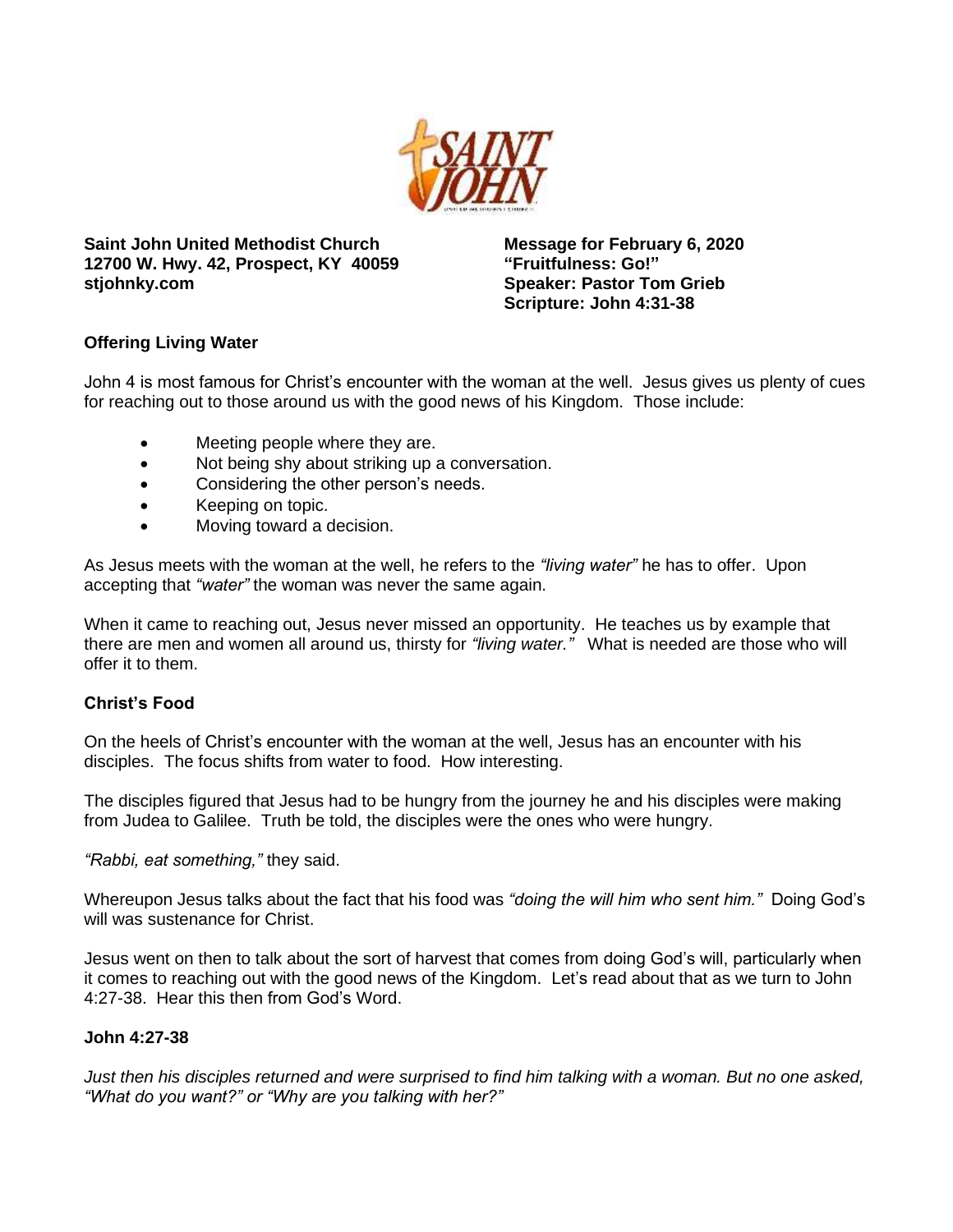

**Saint John United Methodist Church 12700 W. Hwy. 42, Prospect, KY 40059 stjohnky.com**

**Message for February 6, 2020 "Fruitfulness: Go!" Speaker: Pastor Tom Grieb Scripture: John 4:31-38**

# **Offering Living Water**

John 4 is most famous for Christ's encounter with the woman at the well. Jesus gives us plenty of cues for reaching out to those around us with the good news of his Kingdom. Those include:

- Meeting people where they are.
- Not being shy about striking up a conversation.
- Considering the other person's needs.
- Keeping on topic.
- Moving toward a decision.

As Jesus meets with the woman at the well, he refers to the *"living water"* he has to offer. Upon accepting that *"water"* the woman was never the same again.

When it came to reaching out, Jesus never missed an opportunity. He teaches us by example that there are men and women all around us, thirsty for *"living water."* What is needed are those who will offer it to them.

# **Christ's Food**

On the heels of Christ's encounter with the woman at the well, Jesus has an encounter with his disciples. The focus shifts from water to food. How interesting.

The disciples figured that Jesus had to be hungry from the journey he and his disciples were making from Judea to Galilee. Truth be told, the disciples were the ones who were hungry.

*"Rabbi, eat something,"* they said.

Whereupon Jesus talks about the fact that his food was *"doing the will him who sent him."* Doing God's will was sustenance for Christ.

Jesus went on then to talk about the sort of harvest that comes from doing God's will, particularly when it comes to reaching out with the good news of the Kingdom. Let's read about that as we turn to John 4:27-38. Hear this then from God's Word.

# **John 4:27-38**

*Just then his disciples returned and were surprised to find him talking with a woman. But no one asked, "What do you want?" or "Why are you talking with her?"*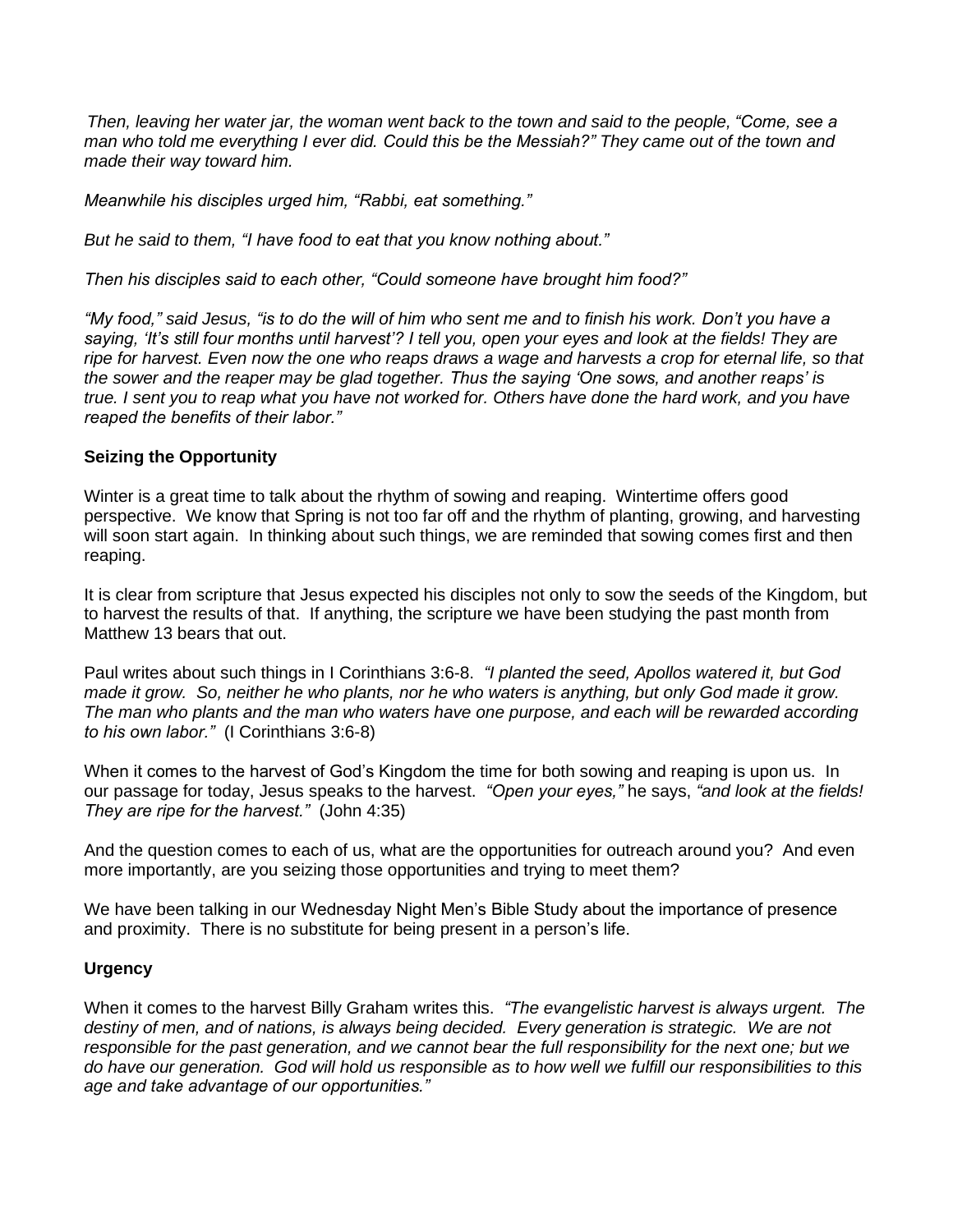*Then, leaving her water jar, the woman went back to the town and said to the people, "Come, see a man who told me everything I ever did. Could this be the Messiah?" They came out of the town and made their way toward him.*

*Meanwhile his disciples urged him, "Rabbi, eat something."*

*But he said to them, "I have food to eat that you know nothing about."*

*Then his disciples said to each other, "Could someone have brought him food?"*

*"My food," said Jesus, "is to do the will of him who sent me and to finish his work. Don't you have a saying, 'It's still four months until harvest'? I tell you, open your eyes and look at the fields! They are ripe for harvest. Even now the one who reaps draws a wage and harvests a crop for eternal life, so that the sower and the reaper may be glad together. Thus the saying 'One sows, and another reaps' is true. I sent you to reap what you have not worked for. Others have done the hard work, and you have reaped the benefits of their labor."*

#### **Seizing the Opportunity**

Winter is a great time to talk about the rhythm of sowing and reaping. Wintertime offers good perspective. We know that Spring is not too far off and the rhythm of planting, growing, and harvesting will soon start again. In thinking about such things, we are reminded that sowing comes first and then reaping.

It is clear from scripture that Jesus expected his disciples not only to sow the seeds of the Kingdom, but to harvest the results of that. If anything, the scripture we have been studying the past month from Matthew 13 bears that out.

Paul writes about such things in I Corinthians 3:6-8. *"I planted the seed, Apollos watered it, but God made it grow. So, neither he who plants, nor he who waters is anything, but only God made it grow. The man who plants and the man who waters have one purpose, and each will be rewarded according to his own labor."* (I Corinthians 3:6-8)

When it comes to the harvest of God's Kingdom the time for both sowing and reaping is upon us. In our passage for today, Jesus speaks to the harvest. *"Open your eyes,"* he says, *"and look at the fields! They are ripe for the harvest."* (John 4:35)

And the question comes to each of us, what are the opportunities for outreach around you? And even more importantly, are you seizing those opportunities and trying to meet them?

We have been talking in our Wednesday Night Men's Bible Study about the importance of presence and proximity. There is no substitute for being present in a person's life.

# **Urgency**

When it comes to the harvest Billy Graham writes this. *"The evangelistic harvest is always urgent. The*  destiny of men, and of nations, is always being decided. Every generation is strategic. We are not *responsible for the past generation, and we cannot bear the full responsibility for the next one; but we do have our generation. God will hold us responsible as to how well we fulfill our responsibilities to this age and take advantage of our opportunities."*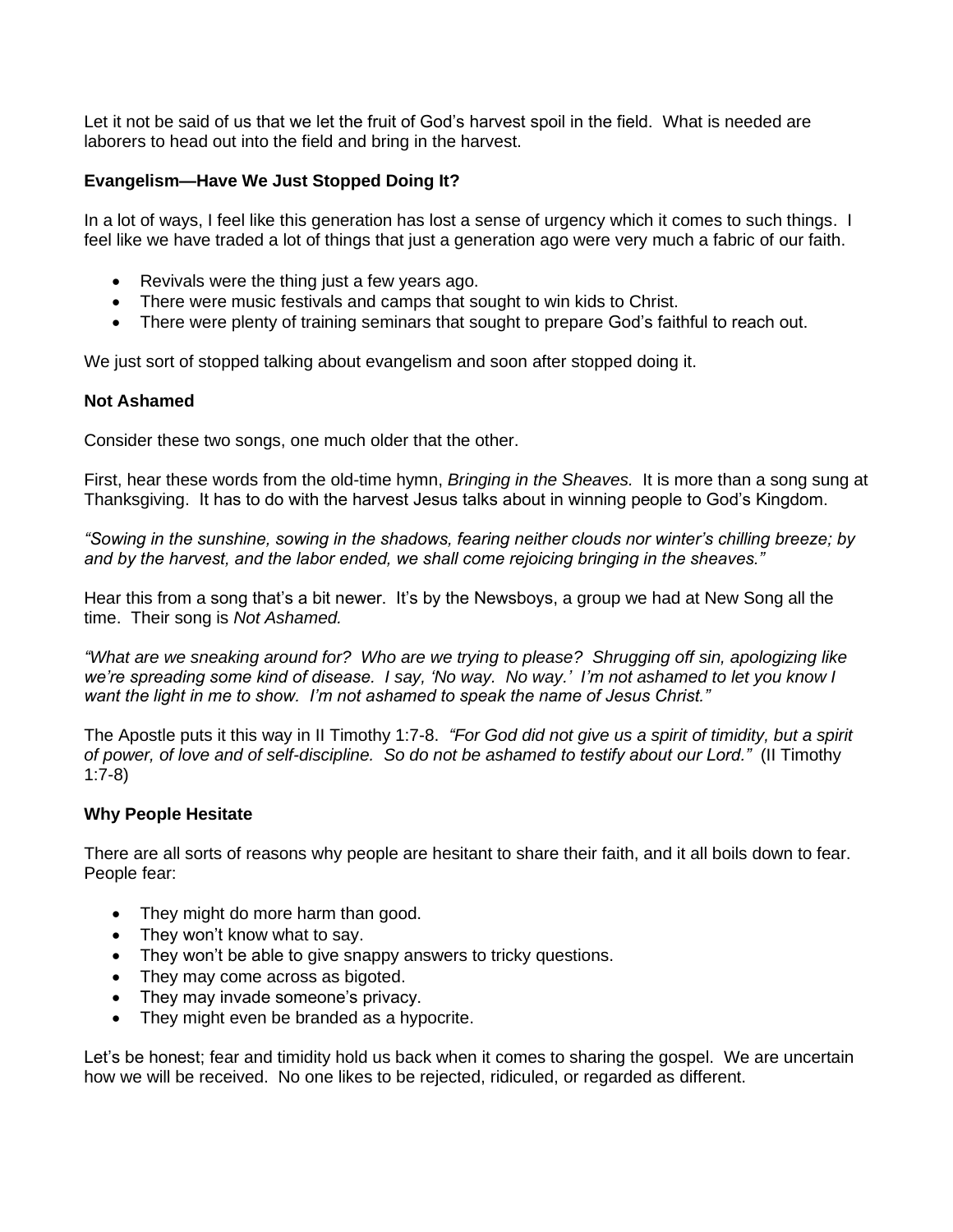Let it not be said of us that we let the fruit of God's harvest spoil in the field. What is needed are laborers to head out into the field and bring in the harvest.

# **Evangelism—Have We Just Stopped Doing It?**

In a lot of ways, I feel like this generation has lost a sense of urgency which it comes to such things. I feel like we have traded a lot of things that just a generation ago were very much a fabric of our faith.

- Revivals were the thing just a few years ago.
- There were music festivals and camps that sought to win kids to Christ.
- There were plenty of training seminars that sought to prepare God's faithful to reach out.

We just sort of stopped talking about evangelism and soon after stopped doing it.

# **Not Ashamed**

Consider these two songs, one much older that the other.

First, hear these words from the old-time hymn, *Bringing in the Sheaves.* It is more than a song sung at Thanksgiving. It has to do with the harvest Jesus talks about in winning people to God's Kingdom.

*"Sowing in the sunshine, sowing in the shadows, fearing neither clouds nor winter's chilling breeze; by and by the harvest, and the labor ended, we shall come rejoicing bringing in the sheaves."*

Hear this from a song that's a bit newer. It's by the Newsboys, a group we had at New Song all the time. Their song is *Not Ashamed.*

*"What are we sneaking around for? Who are we trying to please? Shrugging off sin, apologizing like we're spreading some kind of disease. I say, 'No way. No way.' I'm not ashamed to let you know I want the light in me to show. I'm not ashamed to speak the name of Jesus Christ."*

The Apostle puts it this way in II Timothy 1:7-8. *"For God did not give us a spirit of timidity, but a spirit of power, of love and of self-discipline. So do not be ashamed to testify about our Lord."* (II Timothy 1:7-8)

# **Why People Hesitate**

There are all sorts of reasons why people are hesitant to share their faith, and it all boils down to fear. People fear:

- They might do more harm than good.
- They won't know what to say.
- They won't be able to give snappy answers to tricky questions.
- They may come across as bigoted.
- They may invade someone's privacy.
- They might even be branded as a hypocrite.

Let's be honest; fear and timidity hold us back when it comes to sharing the gospel. We are uncertain how we will be received. No one likes to be rejected, ridiculed, or regarded as different.